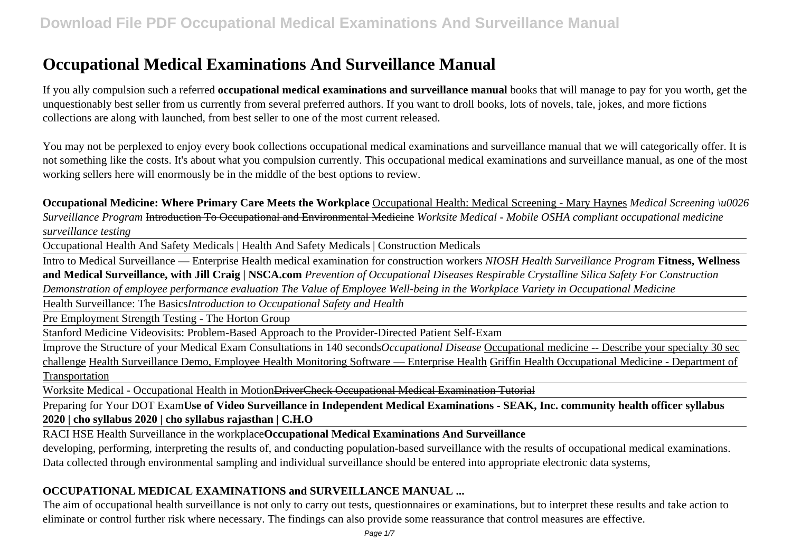# **Occupational Medical Examinations And Surveillance Manual**

If you ally compulsion such a referred **occupational medical examinations and surveillance manual** books that will manage to pay for you worth, get the unquestionably best seller from us currently from several preferred authors. If you want to droll books, lots of novels, tale, jokes, and more fictions collections are along with launched, from best seller to one of the most current released.

You may not be perplexed to enjoy every book collections occupational medical examinations and surveillance manual that we will categorically offer. It is not something like the costs. It's about what you compulsion currently. This occupational medical examinations and surveillance manual, as one of the most working sellers here will enormously be in the middle of the best options to review.

**Occupational Medicine: Where Primary Care Meets the Workplace** Occupational Health: Medical Screening - Mary Haynes *Medical Screening \u0026 Surveillance Program* Introduction To Occupational and Environmental Medicine *Worksite Medical - Mobile OSHA compliant occupational medicine surveillance testing*

Occupational Health And Safety Medicals | Health And Safety Medicals | Construction Medicals

Intro to Medical Surveillance — Enterprise Health medical examination for construction workers *NIOSH Health Surveillance Program* **Fitness, Wellness and Medical Surveillance, with Jill Craig | NSCA.com** *Prevention of Occupational Diseases Respirable Crystalline Silica Safety For Construction Demonstration of employee performance evaluation The Value of Employee Well-being in the Workplace Variety in Occupational Medicine*

Health Surveillance: The Basics*Introduction to Occupational Safety and Health*

Pre Employment Strength Testing - The Horton Group

Stanford Medicine Videovisits: Problem-Based Approach to the Provider-Directed Patient Self-Exam

Improve the Structure of your Medical Exam Consultations in 140 seconds*Occupational Disease* Occupational medicine -- Describe your specialty 30 sec challenge Health Surveillance Demo, Employee Health Monitoring Software — Enterprise Health Griffin Health Occupational Medicine - Department of **Transportation** 

Worksite Medical - Occupational Health in MotionDriverCheck Occupational Medical Examination Tutorial

Preparing for Your DOT Exam**Use of Video Surveillance in Independent Medical Examinations - SEAK, Inc. community health officer syllabus 2020 | cho syllabus 2020 | cho syllabus rajasthan | C.H.O**

RACI HSE Health Surveillance in the workplace**Occupational Medical Examinations And Surveillance**

developing, performing, interpreting the results of, and conducting population-based surveillance with the results of occupational medical examinations. Data collected through environmental sampling and individual surveillance should be entered into appropriate electronic data systems,

## **OCCUPATIONAL MEDICAL EXAMINATIONS and SURVEILLANCE MANUAL ...**

The aim of occupational health surveillance is not only to carry out tests, questionnaires or examinations, but to interpret these results and take action to eliminate or control further risk where necessary. The findings can also provide some reassurance that control measures are effective.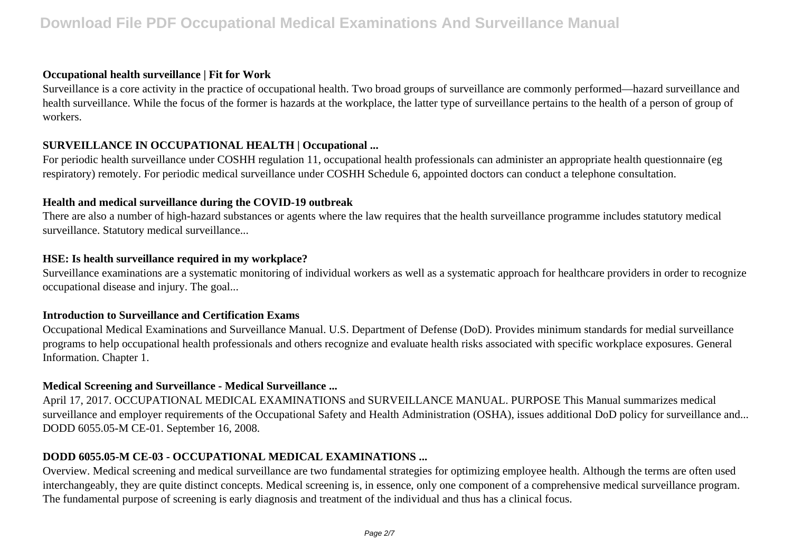## **Occupational health surveillance | Fit for Work**

Surveillance is a core activity in the practice of occupational health. Two broad groups of surveillance are commonly performed—hazard surveillance and health surveillance. While the focus of the former is hazards at the workplace, the latter type of surveillance pertains to the health of a person of group of workers.

## **SURVEILLANCE IN OCCUPATIONAL HEALTH | Occupational ...**

For periodic health surveillance under COSHH regulation 11, occupational health professionals can administer an appropriate health questionnaire (eg respiratory) remotely. For periodic medical surveillance under COSHH Schedule 6, appointed doctors can conduct a telephone consultation.

## **Health and medical surveillance during the COVID-19 outbreak**

There are also a number of high-hazard substances or agents where the law requires that the health surveillance programme includes statutory medical surveillance. Statutory medical surveillance...

## **HSE: Is health surveillance required in my workplace?**

Surveillance examinations are a systematic monitoring of individual workers as well as a systematic approach for healthcare providers in order to recognize occupational disease and injury. The goal...

## **Introduction to Surveillance and Certification Exams**

Occupational Medical Examinations and Surveillance Manual. U.S. Department of Defense (DoD). Provides minimum standards for medial surveillance programs to help occupational health professionals and others recognize and evaluate health risks associated with specific workplace exposures. General Information. Chapter 1.

## **Medical Screening and Surveillance - Medical Surveillance ...**

April 17, 2017. OCCUPATIONAL MEDICAL EXAMINATIONS and SURVEILLANCE MANUAL. PURPOSE This Manual summarizes medical surveillance and employer requirements of the Occupational Safety and Health Administration (OSHA), issues additional DoD policy for surveillance and... DODD 6055.05-M CE-01. September 16, 2008.

## **DODD 6055.05-M CE-03 - OCCUPATIONAL MEDICAL EXAMINATIONS ...**

Overview. Medical screening and medical surveillance are two fundamental strategies for optimizing employee health. Although the terms are often used interchangeably, they are quite distinct concepts. Medical screening is, in essence, only one component of a comprehensive medical surveillance program. The fundamental purpose of screening is early diagnosis and treatment of the individual and thus has a clinical focus.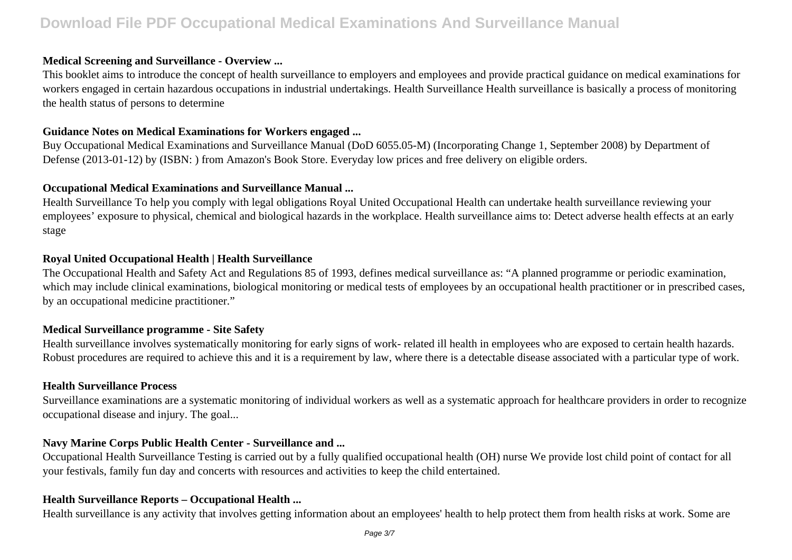## **Medical Screening and Surveillance - Overview ...**

This booklet aims to introduce the concept of health surveillance to employers and employees and provide practical guidance on medical examinations for workers engaged in certain hazardous occupations in industrial undertakings. Health Surveillance Health surveillance is basically a process of monitoring the health status of persons to determine

#### **Guidance Notes on Medical Examinations for Workers engaged ...**

Buy Occupational Medical Examinations and Surveillance Manual (DoD 6055.05-M) (Incorporating Change 1, September 2008) by Department of Defense (2013-01-12) by (ISBN: ) from Amazon's Book Store. Everyday low prices and free delivery on eligible orders.

#### **Occupational Medical Examinations and Surveillance Manual ...**

Health Surveillance To help you comply with legal obligations Royal United Occupational Health can undertake health surveillance reviewing your employees' exposure to physical, chemical and biological hazards in the workplace. Health surveillance aims to: Detect adverse health effects at an early stage

### **Royal United Occupational Health | Health Surveillance**

The Occupational Health and Safety Act and Regulations 85 of 1993, defines medical surveillance as: "A planned programme or periodic examination, which may include clinical examinations, biological monitoring or medical tests of employees by an occupational health practitioner or in prescribed cases, by an occupational medicine practitioner."

## **Medical Surveillance programme - Site Safety**

Health surveillance involves systematically monitoring for early signs of work- related ill health in employees who are exposed to certain health hazards. Robust procedures are required to achieve this and it is a requirement by law, where there is a detectable disease associated with a particular type of work.

#### **Health Surveillance Process**

Surveillance examinations are a systematic monitoring of individual workers as well as a systematic approach for healthcare providers in order to recognize occupational disease and injury. The goal...

#### **Navy Marine Corps Public Health Center - Surveillance and ...**

Occupational Health Surveillance Testing is carried out by a fully qualified occupational health (OH) nurse We provide lost child point of contact for all your festivals, family fun day and concerts with resources and activities to keep the child entertained.

#### **Health Surveillance Reports – Occupational Health ...**

Health surveillance is any activity that involves getting information about an employees' health to help protect them from health risks at work. Some are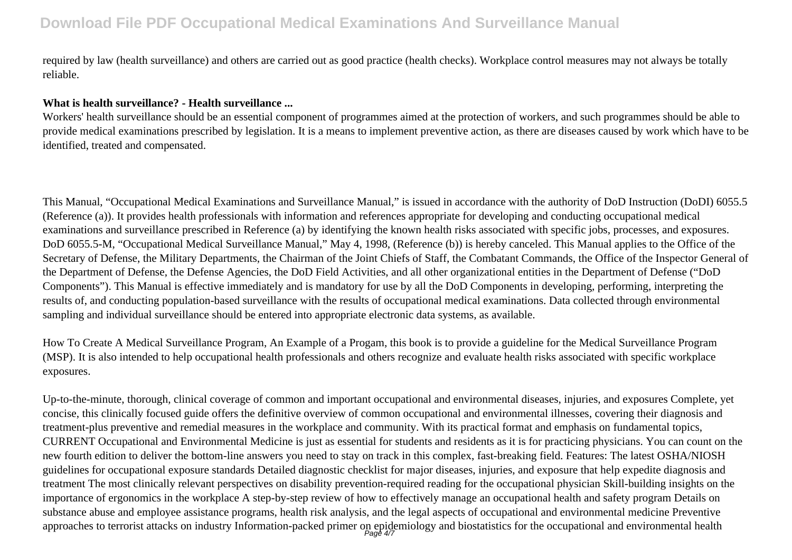required by law (health surveillance) and others are carried out as good practice (health checks). Workplace control measures may not always be totally reliable.

## **What is health surveillance? - Health surveillance ...**

Workers' health surveillance should be an essential component of programmes aimed at the protection of workers, and such programmes should be able to provide medical examinations prescribed by legislation. It is a means to implement preventive action, as there are diseases caused by work which have to be identified, treated and compensated.

This Manual, "Occupational Medical Examinations and Surveillance Manual," is issued in accordance with the authority of DoD Instruction (DoDI) 6055.5 (Reference (a)). It provides health professionals with information and references appropriate for developing and conducting occupational medical examinations and surveillance prescribed in Reference (a) by identifying the known health risks associated with specific jobs, processes, and exposures. DoD 6055.5-M, "Occupational Medical Surveillance Manual," May 4, 1998, (Reference (b)) is hereby canceled. This Manual applies to the Office of the Secretary of Defense, the Military Departments, the Chairman of the Joint Chiefs of Staff, the Combatant Commands, the Office of the Inspector General of the Department of Defense, the Defense Agencies, the DoD Field Activities, and all other organizational entities in the Department of Defense ("DoD Components"). This Manual is effective immediately and is mandatory for use by all the DoD Components in developing, performing, interpreting the results of, and conducting population-based surveillance with the results of occupational medical examinations. Data collected through environmental sampling and individual surveillance should be entered into appropriate electronic data systems, as available.

How To Create A Medical Surveillance Program, An Example of a Progam, this book is to provide a guideline for the Medical Surveillance Program (MSP). It is also intended to help occupational health professionals and others recognize and evaluate health risks associated with specific workplace exposures.

Up-to-the-minute, thorough, clinical coverage of common and important occupational and environmental diseases, injuries, and exposures Complete, yet concise, this clinically focused guide offers the definitive overview of common occupational and environmental illnesses, covering their diagnosis and treatment-plus preventive and remedial measures in the workplace and community. With its practical format and emphasis on fundamental topics, CURRENT Occupational and Environmental Medicine is just as essential for students and residents as it is for practicing physicians. You can count on the new fourth edition to deliver the bottom-line answers you need to stay on track in this complex, fast-breaking field. Features: The latest OSHA/NIOSH guidelines for occupational exposure standards Detailed diagnostic checklist for major diseases, injuries, and exposure that help expedite diagnosis and treatment The most clinically relevant perspectives on disability prevention-required reading for the occupational physician Skill-building insights on the importance of ergonomics in the workplace A step-by-step review of how to effectively manage an occupational health and safety program Details on substance abuse and employee assistance programs, health risk analysis, and the legal aspects of occupational and environmental medicine Preventive approaches to terrorist attacks on industry Information-packed primer on epidemiology and biostatistics for the occupational and environmental health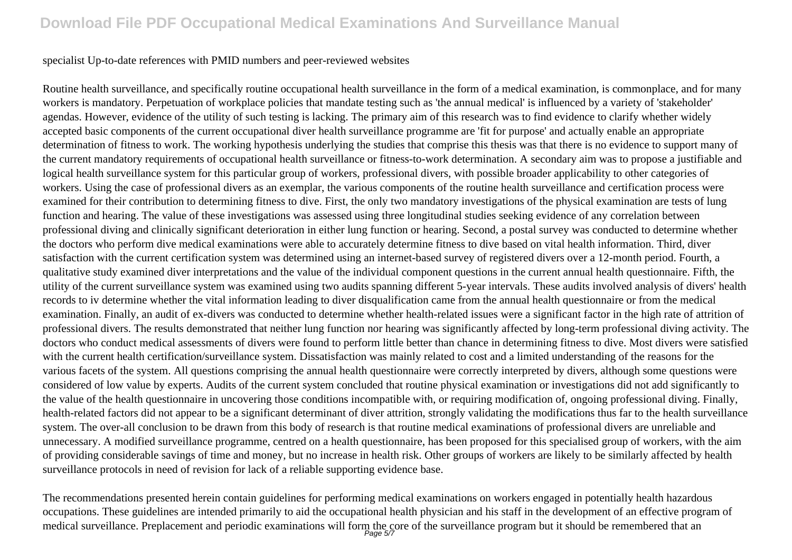#### specialist Up-to-date references with PMID numbers and peer-reviewed websites

Routine health surveillance, and specifically routine occupational health surveillance in the form of a medical examination, is commonplace, and for many workers is mandatory. Perpetuation of workplace policies that mandate testing such as 'the annual medical' is influenced by a variety of 'stakeholder' agendas. However, evidence of the utility of such testing is lacking. The primary aim of this research was to find evidence to clarify whether widely accepted basic components of the current occupational diver health surveillance programme are 'fit for purpose' and actually enable an appropriate determination of fitness to work. The working hypothesis underlying the studies that comprise this thesis was that there is no evidence to support many of the current mandatory requirements of occupational health surveillance or fitness-to-work determination. A secondary aim was to propose a justifiable and logical health surveillance system for this particular group of workers, professional divers, with possible broader applicability to other categories of workers. Using the case of professional divers as an exemplar, the various components of the routine health surveillance and certification process were examined for their contribution to determining fitness to dive. First, the only two mandatory investigations of the physical examination are tests of lung function and hearing. The value of these investigations was assessed using three longitudinal studies seeking evidence of any correlation between professional diving and clinically significant deterioration in either lung function or hearing. Second, a postal survey was conducted to determine whether the doctors who perform dive medical examinations were able to accurately determine fitness to dive based on vital health information. Third, diver satisfaction with the current certification system was determined using an internet-based survey of registered divers over a 12-month period. Fourth, a qualitative study examined diver interpretations and the value of the individual component questions in the current annual health questionnaire. Fifth, the utility of the current surveillance system was examined using two audits spanning different 5-year intervals. These audits involved analysis of divers' health records to iv determine whether the vital information leading to diver disqualification came from the annual health questionnaire or from the medical examination. Finally, an audit of ex-divers was conducted to determine whether health-related issues were a significant factor in the high rate of attrition of professional divers. The results demonstrated that neither lung function nor hearing was significantly affected by long-term professional diving activity. The doctors who conduct medical assessments of divers were found to perform little better than chance in determining fitness to dive. Most divers were satisfied with the current health certification/surveillance system. Dissatisfaction was mainly related to cost and a limited understanding of the reasons for the various facets of the system. All questions comprising the annual health questionnaire were correctly interpreted by divers, although some questions were considered of low value by experts. Audits of the current system concluded that routine physical examination or investigations did not add significantly to the value of the health questionnaire in uncovering those conditions incompatible with, or requiring modification of, ongoing professional diving. Finally, health-related factors did not appear to be a significant determinant of diver attrition, strongly validating the modifications thus far to the health surveillance system. The over-all conclusion to be drawn from this body of research is that routine medical examinations of professional divers are unreliable and unnecessary. A modified surveillance programme, centred on a health questionnaire, has been proposed for this specialised group of workers, with the aim of providing considerable savings of time and money, but no increase in health risk. Other groups of workers are likely to be similarly affected by health surveillance protocols in need of revision for lack of a reliable supporting evidence base.

The recommendations presented herein contain guidelines for performing medical examinations on workers engaged in potentially health hazardous occupations. These guidelines are intended primarily to aid the occupational health physician and his staff in the development of an effective program of medical surveillance. Preplacement and periodic examinations will form the core of the surveillance program but it should be remembered that an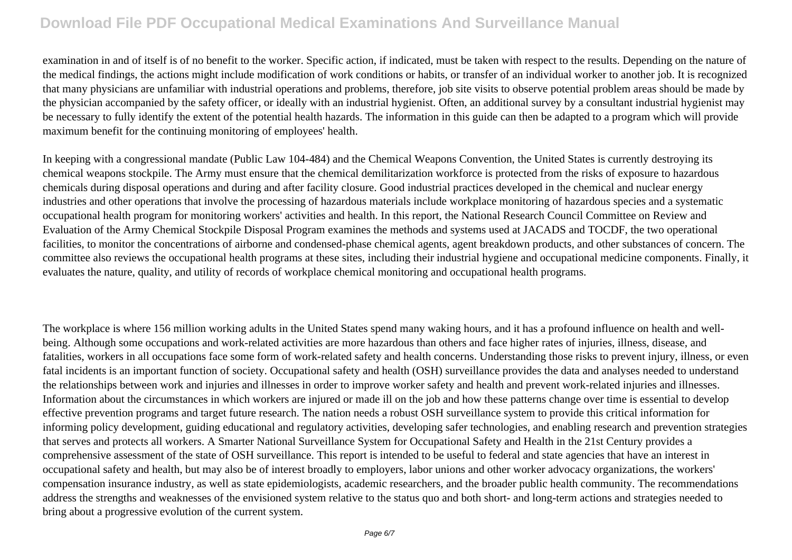examination in and of itself is of no benefit to the worker. Specific action, if indicated, must be taken with respect to the results. Depending on the nature of the medical findings, the actions might include modification of work conditions or habits, or transfer of an individual worker to another job. It is recognized that many physicians are unfamiliar with industrial operations and problems, therefore, job site visits to observe potential problem areas should be made by the physician accompanied by the safety officer, or ideally with an industrial hygienist. Often, an additional survey by a consultant industrial hygienist may be necessary to fully identify the extent of the potential health hazards. The information in this guide can then be adapted to a program which will provide maximum benefit for the continuing monitoring of employees' health.

In keeping with a congressional mandate (Public Law 104-484) and the Chemical Weapons Convention, the United States is currently destroying its chemical weapons stockpile. The Army must ensure that the chemical demilitarization workforce is protected from the risks of exposure to hazardous chemicals during disposal operations and during and after facility closure. Good industrial practices developed in the chemical and nuclear energy industries and other operations that involve the processing of hazardous materials include workplace monitoring of hazardous species and a systematic occupational health program for monitoring workers' activities and health. In this report, the National Research Council Committee on Review and Evaluation of the Army Chemical Stockpile Disposal Program examines the methods and systems used at JACADS and TOCDF, the two operational facilities, to monitor the concentrations of airborne and condensed-phase chemical agents, agent breakdown products, and other substances of concern. The committee also reviews the occupational health programs at these sites, including their industrial hygiene and occupational medicine components. Finally, it evaluates the nature, quality, and utility of records of workplace chemical monitoring and occupational health programs.

The workplace is where 156 million working adults in the United States spend many waking hours, and it has a profound influence on health and wellbeing. Although some occupations and work-related activities are more hazardous than others and face higher rates of injuries, illness, disease, and fatalities, workers in all occupations face some form of work-related safety and health concerns. Understanding those risks to prevent injury, illness, or even fatal incidents is an important function of society. Occupational safety and health (OSH) surveillance provides the data and analyses needed to understand the relationships between work and injuries and illnesses in order to improve worker safety and health and prevent work-related injuries and illnesses. Information about the circumstances in which workers are injured or made ill on the job and how these patterns change over time is essential to develop effective prevention programs and target future research. The nation needs a robust OSH surveillance system to provide this critical information for informing policy development, guiding educational and regulatory activities, developing safer technologies, and enabling research and prevention strategies that serves and protects all workers. A Smarter National Surveillance System for Occupational Safety and Health in the 21st Century provides a comprehensive assessment of the state of OSH surveillance. This report is intended to be useful to federal and state agencies that have an interest in occupational safety and health, but may also be of interest broadly to employers, labor unions and other worker advocacy organizations, the workers' compensation insurance industry, as well as state epidemiologists, academic researchers, and the broader public health community. The recommendations address the strengths and weaknesses of the envisioned system relative to the status quo and both short- and long-term actions and strategies needed to bring about a progressive evolution of the current system.